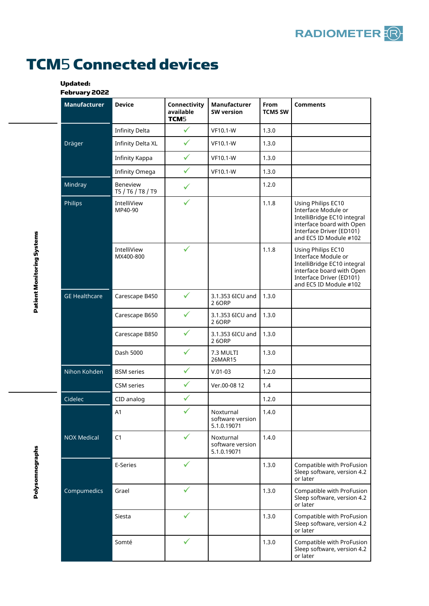## TCM5 Connected devices

## Updated:

February 2022

|  | <b>Manufacturer</b>  | <b>Device</b>                        | Connectivity<br>available<br>TCM <sub>5</sub> | Manufacturer<br><b>SW version</b>            | From<br><b>TCM5 SW</b> | <b>Comments</b>                                                                                                                                             |
|--|----------------------|--------------------------------------|-----------------------------------------------|----------------------------------------------|------------------------|-------------------------------------------------------------------------------------------------------------------------------------------------------------|
|  | Dräger               | <b>Infinity Delta</b>                | $\checkmark$                                  | <b>VF10.1-W</b>                              | 1.3.0                  |                                                                                                                                                             |
|  |                      | <b>Infinity Delta XL</b>             | $\checkmark$                                  | <b>VF10.1-W</b>                              | 1.3.0                  |                                                                                                                                                             |
|  |                      | Infinity Kappa                       | $\checkmark$                                  | VF10.1-W                                     | 1.3.0                  |                                                                                                                                                             |
|  |                      | Infinity Omega                       | ✓                                             | VF10.1-W                                     | 1.3.0                  |                                                                                                                                                             |
|  | Mindray              | <b>Beneview</b><br>T5 / T6 / T8 / T9 |                                               |                                              | 1.2.0                  |                                                                                                                                                             |
|  | Philips              | IntelliView<br>MP40-90               | $\checkmark$                                  |                                              | 1.1.8                  | Using Philips EC10<br>Interface Module or<br>IntelliBridge EC10 integral<br>interface board with Open<br>Interface Driver (ED101)<br>and EC5 ID Module #102 |
|  |                      | IntelliView<br>MX400-800             | ✓                                             |                                              | 1.1.8                  | Using Philips EC10<br>Interface Module or<br>IntelliBridge EC10 integral<br>interface board with Open<br>Interface Driver (ED101)<br>and EC5 ID Module #102 |
|  | <b>GE Healthcare</b> | Carescape B450                       | ✓                                             | 3.1.353 6ICU and<br>26ORP                    | 1.3.0                  |                                                                                                                                                             |
|  |                      | Carescape B650                       | ✓                                             | 3.1.353 6ICU and<br>26ORP                    | 1.3.0                  |                                                                                                                                                             |
|  |                      | Carescape B850                       | ✓                                             | 3.1.353 6ICU and<br>26ORP                    | 1.3.0                  |                                                                                                                                                             |
|  |                      | Dash 5000                            | ✓                                             | 7.3 MULTI<br>26MAR15                         | 1.3.0                  |                                                                                                                                                             |
|  | Nihon Kohden         | <b>BSM</b> series                    | $\checkmark$                                  | $V.01-03$                                    | 1.2.0                  |                                                                                                                                                             |
|  |                      | CSM series                           | ✓                                             | Ver.00-08 12                                 | 1.4                    |                                                                                                                                                             |
|  | Cidelec              | CID analog                           | ✓                                             |                                              | 1.2.0                  |                                                                                                                                                             |
|  |                      | A1                                   | ✓                                             | Noxturnal<br>software version<br>5.1.0.19071 | 1.4.0                  |                                                                                                                                                             |
|  | <b>NOX Medical</b>   | C1                                   | ✓                                             | Noxturnal<br>software version<br>5.1.0.19071 | 1.4.0                  |                                                                                                                                                             |
|  | Compumedics          | E-Series                             | ✓                                             |                                              | 1.3.0                  | Compatible with ProFusion<br>Sleep software, version 4.2<br>or later                                                                                        |
|  |                      | Grael                                | ✓                                             |                                              | 1.3.0                  | Compatible with ProFusion<br>Sleep software, version 4.2<br>or later                                                                                        |
|  |                      | Siesta                               |                                               |                                              | 1.3.0                  | Compatible with ProFusion<br>Sleep software, version 4.2<br>or later                                                                                        |
|  |                      | Somté                                |                                               |                                              | 1.3.0                  | Compatible with ProFusion<br>Sleep software, version 4.2<br>or later                                                                                        |